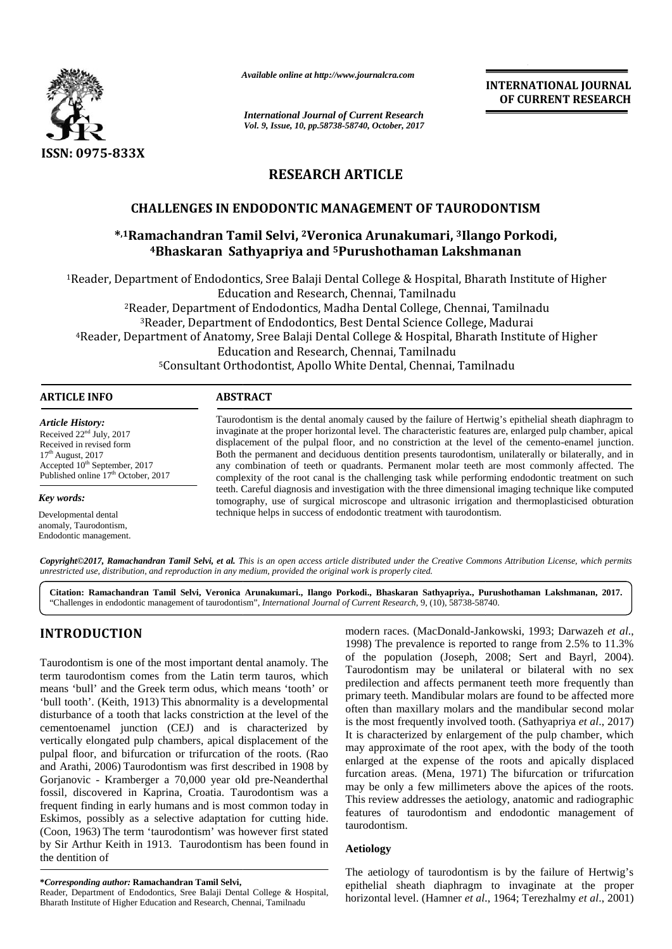

*Available online at http://www.journalcra.com*

*International Journal of Current Research Vol. 9, Issue, 10, pp.58738-58740, October, 2017* **INTERNATIONAL JOURNAL OF CURRENT RESEARCH**

# **RESEARCH ARTICLE**

## **CHALLENGES IN ENDODONTIC MANAGEMENT OF TAURODONTISM**

# **\* ,1Ramachandran Tamil Selvi, <sup>2</sup>Veronica Arunakumari, <sup>3</sup>Ilango Porkodi, Ramachandran Tamil <sup>4</sup>Bhaskaran Sathyapriya and <sup>5</sup>Purushothaman Lakshmanan**

<sup>1</sup>Reader, Department of Endodontics, Sree Balaji Dental College & Hospital, Bharath Institute of Higher Education and Research, Chennai, Tamilnadu <sup>2</sup>Reader, Department of Endodontics, Madha Dental College, Chennai, Tamilnadu <sup>3</sup>Reader, Department of Endodontics, Best Dental Science College, Madurai <sup>4</sup>Reader, Department of Anatomy, Sree Balaji Dental College & Hospital, Bharath Institute of Higher Education and Research, Chennai, Tamilnadu <sup>5</sup>Consultant Orthodontist, Apollo White Dental, Chennai, Tamilnadu 5Consultant Dental, Chennai, epartment of Endodontics, Sree Balaji Dental College & Hospital, Bharath Institute of<br>Education and Research, Chennai, Tamilnadu<br><sup>2</sup>Reader, Department of Endodontics, Madha Dental College, Chennai, Tamilnadu<br><sup>3</sup>Reader, Dep Higher

#### **ARTICLE INFO**

*Article History:* Received 22nd July, 2017 Received in revised form  $17<sup>th</sup>$  August, 2017 Accepted 10<sup>th</sup> September, 2017 Published online 17<sup>th</sup> October, 2017

*Key words:*

Developmental dental anomaly, Taurodontism, Endodontic management.

Taurodontism is the dental anomaly caused by the failure of Hertwig's epithelial sheath diaphragm to invaginate at the proper horizontal level. The characteristic features are, enlarged pulp chamber, apical invaginate displacement of the pulpal floor, and no constriction at the level of the cemento-enamel junction. Both the permanent and deciduous dentition presents taurodontism, unilaterally or bilaterally, and in any combination of teeth or quadrants. Permanent molar teeth are most commonly affected. The complexity of the root canal is the challenging task while performing endodontic treatment on such teeth. Careful diagnosis and investigation with the three dimensional imaging technique like computed displacement of the pulpal floor, and no constriction at the level of the cemento-enamel junction.<br>Both the permanent and deciduous dentition presents taurodontism, unilaterally or bilaterally, and in<br>any combination of te technique helps in success of endodontic treatment with taurodontism.

**Copyright©2017, Ramachandran Tamil Selvi, et al.** This is an open access article distributed under the Creative Commons Attribution License, which permits<br>unrestricted use, distribution, and reproduction in any medium, pr *unrestricted use, distribution, and reproduction in any medium, provided the original work is properly cited.*

**Citation: Ramachandran Tamil Selvi, Veronica Arunakumari., Ilango Porkodi., Bhaskaran Sathyapriya., Purushothaman Lakshmanan, 2017.** "Challenges in endodontic management of taurodontism", *International Journal of Current Research*, 9, (10), 58738-58740.

# **INTRODUCTION INTRODUCTION**

Taurodontism is one of the most important dental anamoly. The  $\frac{0}{T}$ term taurodontism comes from the Latin term tauros, which  $\frac{1 \text{ duch}}{n}$ means 'bull' and the Greek term odus, which means 'tooth' or means 'bull' and the Greek term odus, which means 'tooth' or <sup>P</sup><br>
'bull tooth'. (Keith, 1913) This abnormality is a developmental disturbance of a tooth that lacks constriction at the level of the cementoenamel junction (CEJ) and is characterized by vertically elongated pulp chambers, apical displacement of the pulpal floor, and bifurcation or trifurcation of the roots. (Rao and Arathi, 2006) Taurodontism was first described in 1908 by Gorjanovic - Kramberger a 70,000 year old pre-Neanderthal fossil, discovered in Kaprina, Croatia. Taurodontism was a frequent finding in early humans and is most common today in Eskimos, possibly as a selective adaptation for cutting hide. Eskimos, possibly as a selective adaptation for cutting hide. <sup>Leatur</sup> tauro (Coon, 1963) The term 'taurodontism' was however first stated by Sir Arthur Keith in 1913. Taurodontism has been found in Aetic<br>the dentition of the dentition of disturbance of a tooth that lacks constriction at the level of the<br>cementoenamel junction (CEJ) and is characterized by<br>vertically elongated pulp chambers, apical displacement of the<br>pulpal floor, and bifurcation or trifur **Allenges of** *Current Research* Research Article History:<br> **ARTICLE CHALLENGES IN ENDODONYTIC MANAGEMENT OF TAIJRODONYTISM<br>
<sup>43</sup> <b>PERIMENTAL RESEARCH ARTICLE**<br> **CHALLENGES IN ENDODONYTIC MANAGEMENT OF TAIJRODONYTISM**<br>
<sup>43</sup>

**\****Corresponding author:* **Ramachandran Tamil Selvi, \****Corresponding* 

Reader, Department of Endodontics, Sree Balaji Dental College & Hospital, Bharath Institute of Higher Education and Research, Chennai, Tamilnadu

modern races. (MacDonald-Jankowski, 1993; Darwazeh *et al*., 1998) The prevalence is reported to range from 2.5% to 11.3% of the population (Joseph, 2008; Sert and Bayrl, 2004). Taurodontism may be unilateral or bilateral with no sex predilection and affects permanent teeth more frequently than primary teeth. Mandibular molars are found to be affected more often than maxillary molars and the mandibular second molar is the most frequently involved tooth. (Sathyapriya *et al*., 2017) It is characterized by enlargement of the pulp chamber, which may approximate of the root apex, with the body of the tooth enlarged at the expense of the roots and apically displaced furcation areas. (Mena, 1971) The bifurcation or trifurcation may be only a few millimeters above the apices of the roots. This review addresses the aetiology, anatomic and radiographic features of taurodontism and endodontic management of taurodontism. **INTRODUCTION**<br>
1998) The prevalence is reported to range from 2.5% to 11.3%<br>
Taurodontism is one of the most important dental anamoly. The of the population (Joseph, 2008; Sert and Bayrl, 2004).<br>
Taurodontism comes from Taurodontism may be unilateral or bilateral with no sex predilection and affects permanent teeth more frequently than primary teeth. Mandibular molars are found to be affected more often than maxillary molars and the mandi

## **Aetiology**

The aetiology of taurodontism is by the failure of Hertwig's epithelial sheath diaphragm to invaginate at the proper horizontal level. (Hamner *et al*., 1964; Terezhalmy *et al*., 2001)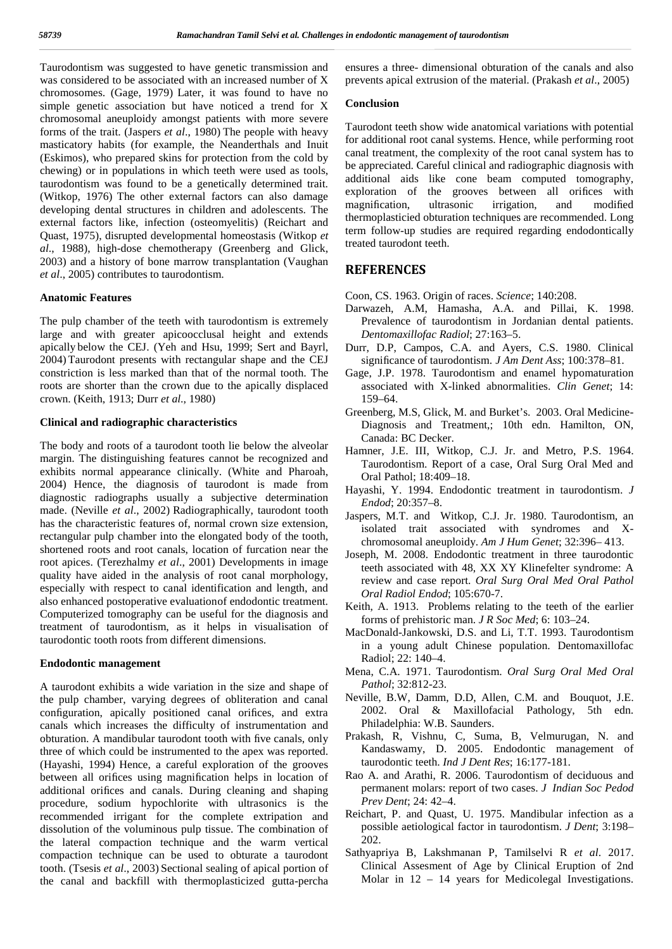Taurodontism was suggested to have genetic transmission and was considered to be associated with an increased number of X chromosomes. (Gage, 1979) Later, it was found to have no simple genetic association but have noticed a trend for X chromosomal aneuploidy amongst patients with more severe forms of the trait. (Jaspers *et al*., 1980) The people with heavy masticatory habits (for example, the Neanderthals and Inuit (Eskimos), who prepared skins for protection from the cold by chewing) or in populations in which teeth were used as tools, taurodontism was found to be a genetically determined trait. (Witkop, 1976) The other external factors can also damage developing dental structures in children and adolescents. The external factors like, infection (osteomyelitis) (Reichart and Quast, 1975), disrupted developmental homeostasis (Witkop *et al*., 1988), high-dose chemotherapy (Greenberg and Glick, 2003) and a history of bone marrow transplantation (Vaughan *et al*., 2005) contributes to taurodontism.

### **Anatomic Features**

The pulp chamber of the teeth with taurodontism is extremely large and with greater apicoocclusal height and extends apically below the CEJ. (Yeh and Hsu, 1999; Sert and Bayrl, 2004) Taurodont presents with rectangular shape and the CEJ constriction is less marked than that of the normal tooth. The roots are shorter than the crown due to the apically displaced crown. (Keith, 1913; Durr *et al*., 1980)

## **Clinical and radiographic characteristics**

The body and roots of a taurodont tooth lie below the alveolar margin. The distinguishing features cannot be recognized and exhibits normal appearance clinically. (White and Pharoah, 2004) Hence, the diagnosis of taurodont is made from diagnostic radiographs usually a subjective determination made. (Neville *et al*., 2002) Radiographically, taurodont tooth has the characteristic features of, normal crown size extension, rectangular pulp chamber into the elongated body of the tooth, shortened roots and root canals, location of furcation near the root apices. (Terezhalmy *et al*., 2001) Developments in image quality have aided in the analysis of root canal morphology, especially with respect to canal identification and length, and also enhanced postoperative evaluationof endodontic treatment. Computerized tomography can be useful for the diagnosis and treatment of taurodontism, as it helps in visualisation of taurodontic tooth roots from different dimensions.

### **Endodontic management**

A taurodont exhibits a wide variation in the size and shape of the pulp chamber, varying degrees of obliteration and canal configuration, apically positioned canal orifices, and extra canals which increases the difficulty of instrumentation and obturation. A mandibular taurodont tooth with five canals, only three of which could be instrumented to the apex was reported. (Hayashi, 1994) Hence, a careful exploration of the grooves between all orifices using magnification helps in location of additional orifices and canals. During cleaning and shaping procedure, sodium hypochlorite with ultrasonics is the recommended irrigant for the complete extripation and dissolution of the voluminous pulp tissue. The combination of the lateral compaction technique and the warm vertical compaction technique can be used to obturate a taurodont tooth. (Tsesis *et al*., 2003) Sectional sealing of apical portion of the canal and backfill with thermoplasticized gutta-percha ensures a three- dimensional obturation of the canals and also prevents apical extrusion of the material. (Prakash *et al*., 2005)

## **Conclusion**

Taurodont teeth show wide anatomical variations with potential for additional root canal systems. Hence, while performing root canal treatment, the complexity of the root canal system has to be appreciated. Careful clinical and radiographic diagnosis with additional aids like cone beam computed tomography, exploration of the grooves between all orifices with<br>magnification, ultrasonic irrigation, and modified magnification, ultrasonic irrigation, and modified thermoplasticied obturation techniques are recommended. Long term follow-up studies are required regarding endodontically treated taurodont teeth.

## **REFERENCES**

- Coon, CS. 1963. Origin of races. *Science*; 140:208.
- Darwazeh, A.M, Hamasha, A.A. and Pillai, K. 1998. Prevalence of taurodontism in Jordanian dental patients. *Dentomaxillofac Radiol*; 27:163–5.
- Durr, D.P, Campos, C.A. and Ayers, C.S. 1980. Clinical significance of taurodontism. *J Am Dent Ass*; 100:378–81.
- Gage, J.P. 1978. Taurodontism and enamel hypomaturation associated with X-linked abnormalities. *Clin Genet*; 14: 159–64.
- Greenberg, M.S, Glick, M. and Burket's. 2003. Oral Medicine- Diagnosis and Treatment,; 10th edn. Hamilton, ON, Canada: BC Decker.
- Hamner, J.E. III, Witkop, C.J. Jr. and Metro, P.S. 1964. Taurodontism. Report of a case, Oral Surg Oral Med and Oral Pathol; 18:409–18.
- Hayashi, Y. 1994. Endodontic treatment in taurodontism. *J Endod*; 20:357–8.
- Jaspers, M.T. and Witkop, C.J. Jr. 1980. Taurodontism, an isolated trait associated with syndromes and X chromosomal aneuploidy. *Am J Hum Genet*; 32:396– 413.
- Joseph, M. 2008. Endodontic treatment in three taurodontic teeth associated with 48, XX XY Klinefelter syndrome: A review and case report. *Oral Surg Oral Med Oral Pathol Oral Radiol Endod*; 105:670-7.
- Keith, A. 1913. Problems relating to the teeth of the earlier forms of prehistoric man. *J R Soc Med*; 6: 103–24.
- MacDonald-Jankowski, D.S. and Li, T.T. 1993. Taurodontism in a young adult Chinese population. Dentomaxillofac Radiol; 22: 140–4.
- Mena, C.A. 1971. Taurodontism. *Oral Surg Oral Med Oral Pathol*; 32:812-23.
- Neville, B.W, Damm, D.D, Allen, C.M. and Bouquot, J.E. 2002. Oral & Maxillofacial Pathology, 5th edn. Philadelphia: W.B. Saunders.
- Prakash, R, Vishnu, C, Suma, B, Velmurugan, N. and Kandaswamy, D. 2005. Endodontic management of taurodontic teeth. *Ind J Dent Res*; 16:177-181.
- Rao A. and Arathi, R. 2006. Taurodontism of deciduous and permanent molars: report of two cases. *J Indian Soc Pedod Prev Dent*; 24: 42–4.
- Reichart, P. and Quast, U. 1975. Mandibular infection as a possible aetiological factor in taurodontism. *J Dent*; 3:198– 202.
- Sathyapriya B, Lakshmanan P, Tamilselvi R *et al*. 2017. Clinical Assesment of Age by Clinical Eruption of 2nd Molar in 12 – 14 years for Medicolegal Investigations.